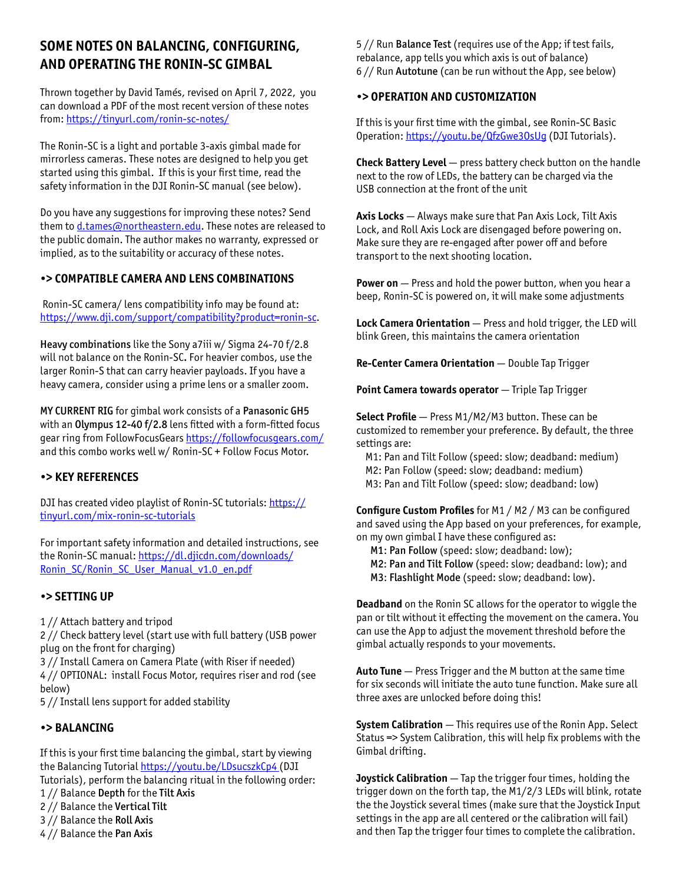# **SOME NOTES ON BALANCING, CONFIGURING, AND OPERATING THE RONIN-SC GIMBAL**

Thrown together by David Tamés, revised on April 7, 2022, you can download a PDF of the most recent version of these notes from:<https://tinyurl.com/ronin-sc-notes/>

The Ronin-SC is a light and portable 3-axis gimbal made for mirrorless cameras. These notes are designed to help you get started using this gimbal. If this is your first time, read the safety information in the DJI Ronin-SC manual (see below).

Do you have any suggestions for improving these notes? Send them to [d.tames@northeastern.edu](mailto:d.tames@northeastern.edu). These notes are released to the public domain. The author makes no warranty, expressed or implied, as to the suitability or accuracy of these notes.

# **•> COMPATIBLE CAMERA AND LENS COMBINATIONS**

 Ronin-SC camera/ lens compatibility info may be found at: [https://www.dji.com/support/compatibility?product=ronin-sc.](https://www.dji.com/support/compatibility?product=ronin-sc)

Heavy combinations like the Sony a7iii w/ Sigma 24-70 f/2.8 will not balance on the Ronin-SC. For heavier combos, use the larger Ronin-S that can carry heavier payloads. If you have a heavy camera, consider using a prime lens or a smaller zoom.

MY CURRENT RIG for gimbal work consists of a Panasonic GH5 with an Olympus 12-40 f/2.8 lens fitted with a form-fitted focus gear ring from FollowFocusGears <https://followfocusgears.com/> and this combo works well w/ Ronin-SC + Follow Focus Motor.

### **•> KEY REFERENCES**

DJI has created video playlist of Ronin-SC tutorials: [https://](https://tinyurl.com/mix-ronin-sc-tutorials) [tinyurl.com/mix-ronin-sc-tutorials](https://tinyurl.com/mix-ronin-sc-tutorials)

For important safety information and detailed instructions, see the Ronin-SC manual: [https://dl.djicdn.com/downloads/](https://dl.djicdn.com/downloads/Ronin_SC/Ronin_SC_User_Manual_v1.0_en.pdf) [Ronin\\_SC/Ronin\\_SC\\_User\\_Manual\\_v1.0\\_en.pdf](https://dl.djicdn.com/downloads/Ronin_SC/Ronin_SC_User_Manual_v1.0_en.pdf)

### **•> SETTING UP**

1 // Attach battery and tripod

2 // Check battery level (start use with full battery (USB power plug on the front for charging)

3 // Install Camera on Camera Plate (with Riser if needed)

4 // OPTIONAL: install Focus Motor, requires riser and rod (see below)

5 // Install lens support for added stability

### **•> BALANCING**

If this is your first time balancing the gimbal, start by viewing the Balancing Tutorial https://youtu.be/LDsucszkCp4 (DJI Tutorials), perform the balancing ritual in the following order:

1 // Balance Depth for the Tilt Axis

- 2 // Balance the Vertical Tilt
- 3 // Balance the Roll Axis
- 4 // Balance the Pan Axis

5 // Run Balance Test (requires use of the App; if test fails, rebalance, app tells you which axis is out of balance) 6 // Run Autotune (can be run without the App, see below)

# **•> OPERATION AND CUSTOMIZATION**

If this is your first time with the gimbal, see Ronin-SC Basic Operation: <https://youtu.be/QfzGwe3OsUg> (DJI Tutorials).

**Check Battery Level** — press battery check button on the handle next to the row of LEDs, the battery can be charged via the USB connection at the front of the unit

**Axis Locks** — Always make sure that Pan Axis Lock, Tilt Axis Lock, and Roll Axis Lock are disengaged before powering on. Make sure they are re-engaged after power off and before transport to the next shooting location.

**Power on** — Press and hold the power button, when you hear a beep, Ronin-SC is powered on, it will make some adjustments

**Lock Camera Orientation** — Press and hold trigger, the LED will blink Green, this maintains the camera orientation

**Re-Center Camera Orientation** — Double Tap Trigger

**Point Camera towards operator** — Triple Tap Trigger

**Select Profile** — Press M1/M2/M3 button. These can be customized to remember your preference. By default, the three settings are:

 M1: Pan and Tilt Follow (speed: slow; deadband: medium) M2: Pan Follow (speed: slow; deadband: medium) M3: Pan and Tilt Follow (speed: slow; deadband: low)

**Configure Custom Profiles** for M1 / M2 / M3 can be configured and saved using the App based on your preferences, for example, on my own gimbal I have these configured as:

M1: Pan Follow (speed: slow; deadband: low);

- M2: Pan and Tilt Follow (speed: slow; deadband: low); and
- M3: Flashlight Mode (speed: slow; deadband: low).

**Deadband** on the Ronin SC allows for the operator to wiggle the pan or tilt without it effecting the movement on the camera. You can use the App to adjust the movement threshold before the gimbal actually responds to your movements.

**Auto Tune** — Press Trigger and the M button at the same time for six seconds will initiate the auto tune function. Make sure all three axes are unlocked before doing this!

**System Calibration** — This requires use of the Ronin App. Select Status => System Calibration, this will help fix problems with the Gimbal drifting.

**Joystick Calibration** — Tap the trigger four times, holding the trigger down on the forth tap, the M1/2/3 LEDs will blink, rotate the the Joystick several times (make sure that the Joystick Input settings in the app are all centered or the calibration will fail) and then Tap the trigger four times to complete the calibration.